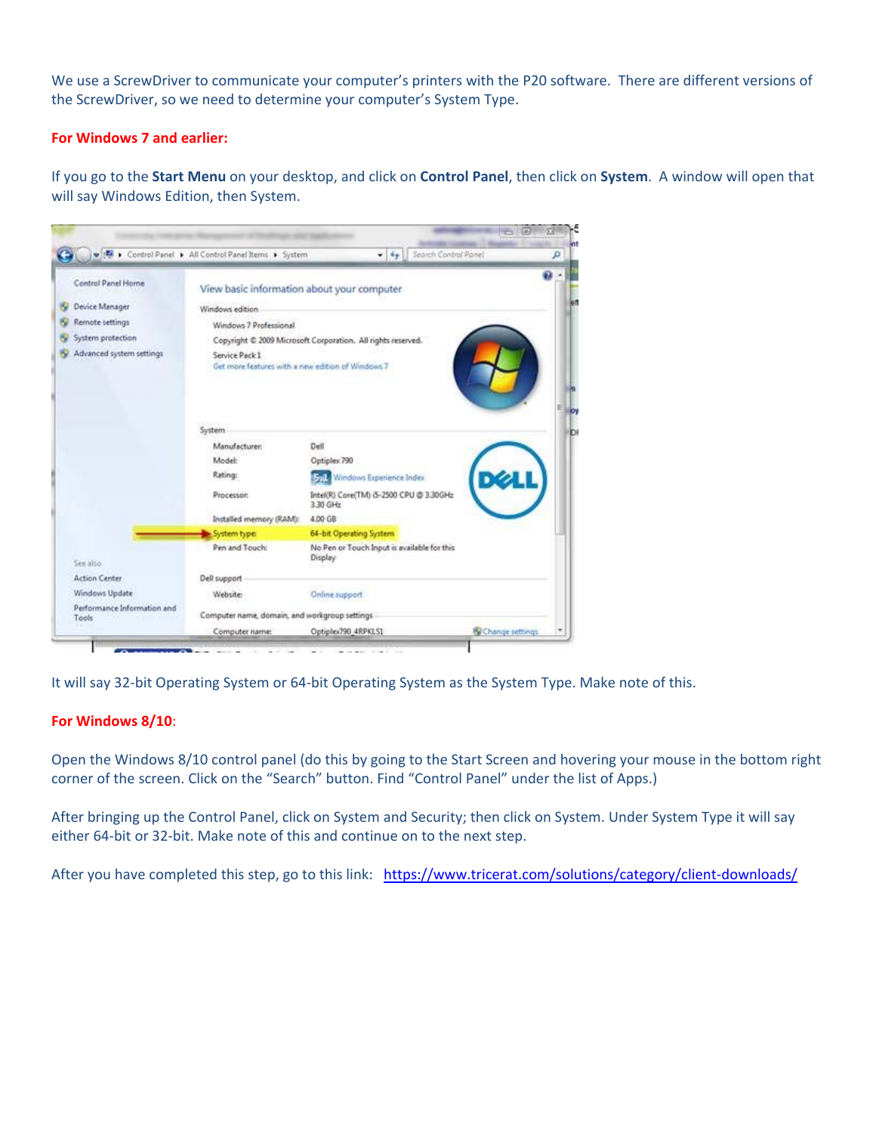We use a ScrewDriver to communicate your computer's printers with the P20 software. There are different versions of the ScrewDriver, so we need to determine your computer's System Type.

## **For Windows 7 and earlier:**

If you go to the **Start Menu** on your desktop, and click on **Control Panel**, then click on **System**. A window will open that will say Windows Edition, then System.

|                                      | D 15 > Control Panel > All Control Panel Items > System             | $\bullet$ $\left[$ $\frac{4}{9}$ $\right]$ Search Control Panel |                 |
|--------------------------------------|---------------------------------------------------------------------|-----------------------------------------------------------------|-----------------|
| Control Panel Home                   | View basic information about your computer                          |                                                                 | o               |
| Device Manager                       | Windows edition                                                     |                                                                 |                 |
| Remote settings                      | Windows 7 Professional                                              |                                                                 |                 |
| System protection                    | Copyright @ 2009 Microsoft Corporation. All rights reserved.        |                                                                 |                 |
| Advanced system settings             | Service Pack 1<br>Get more features with a new edition of Windows 7 |                                                                 |                 |
|                                      | System                                                              |                                                                 |                 |
|                                      | Manufacturer:                                                       | Dell                                                            |                 |
|                                      | Model:                                                              | Optiplex 790                                                    |                 |
|                                      | Rating:                                                             | <b>Still</b> Windows Experience Index                           |                 |
|                                      | Processor:                                                          | Intel(R) Core(TM) 3-2500 CPU @ 3.30GHz<br>3.30 GHz              |                 |
|                                      | Installed memory (RAM):                                             | 4.00 GB                                                         |                 |
|                                      | System type:                                                        | 64-bit Operating System                                         |                 |
| See also                             | Pen and Touch:                                                      | No Pen or Touch Input is available for this<br>Display          |                 |
| <b>Action Center</b>                 | Dell support                                                        |                                                                 |                 |
| Windows Update                       | <b>Website:</b>                                                     | Online support                                                  |                 |
| Performance Information and<br>Tools | Computer name, domain, and workgroup settings                       |                                                                 |                 |
|                                      | Computer name:                                                      | Optiplex790_4RPKLS1                                             | Change settings |

It will say 32-bit Operating System or 64-bit Operating System as the System Type. Make note of this.

## **For Windows 8/10**:

Open the Windows 8/10 control panel (do this by going to the Start Screen and hovering your mouse in the bottom right corner of the screen. Click on the "Search" button. Find "Control Panel" under the list of Apps.)

After bringing up the Control Panel, click on System and Security; then click on System. Under System Type it will say either 64-bit or 32-bit. Make note of this and continue on to the next step.

After you have completed this step, go to this link: https://www.tricerat.com/solutions/category/client-downloads/